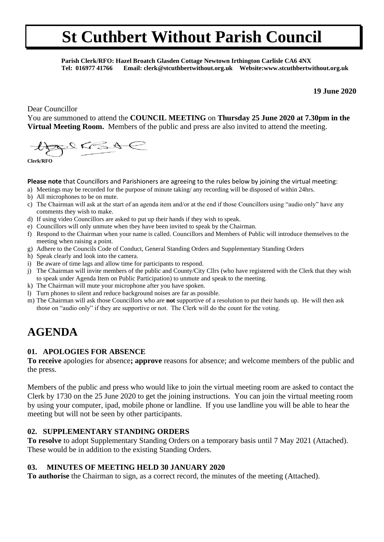**Parish Clerk/RFO: Hazel Broatch Glasden Cottage Newtown Irthington Carlisle CA6 4NX Tel: 016977 41766 Email: clerk@stcuthbertwithout.org.uk Website:www.stcuthbertwithout.org.uk**

**19 June 2020**

Dear Councillor

You are summoned to attend the **COUNCIL MEETING** on **Thursday 25 June 2020 at 7.30pm in the Virtual Meeting Room.** Members of the public and press are also invited to attend the meeting.

 $22658$ 

**Clerk/RFO**

**Please note** that Councillors and Parishioners are agreeing to the rules below by joining the virtual meeting:

- a) Meetings may be recorded for the purpose of minute taking/ any recording will be disposed of within 24hrs.
- b) All microphones to be on mute.
- c) The Chairman will ask at the start of an agenda item and/or at the end if those Councillors using "audio only" have any comments they wish to make.
- d) If using video Councillors are asked to put up their hands if they wish to speak.
- e) Councillors will only unmute when they have been invited to speak by the Chairman.
- f) Respond to the Chairman when your name is called. Councillors and Members of Public will introduce themselves to the meeting when raising a point.
- g) Adhere to the Councils Code of Conduct, General Standing Orders and Supplementary Standing Orders
- h) Speak clearly and look into the camera.
- i) Be aware of time lags and allow time for participants to respond.
- j) The Chairman will invite members of the public and County/City Cllrs (who have registered with the Clerk that they wish to speak under Agenda Item on Public Participation) to unmute and speak to the meeting.
- k) The Chairman will mute your microphone after you have spoken.
- l) Turn phones to silent and reduce background noises are far as possible.
- m) The Chairman will ask those Councillors who are **not** supportive of a resolution to put their hands up. He will then ask those on "audio only" if they are supportive or not. The Clerk will do the count for the voting.

## **AGENDA**

#### **01. APOLOGIES FOR ABSENCE**

**To receive** apologies for absence**; approve** reasons for absence; and welcome members of the public and the press.

Members of the public and press who would like to join the virtual meeting room are asked to contact the Clerk by 1730 on the 25 June 2020 to get the joining instructions. You can join the virtual meeting room by using your computer, ipad, mobile phone or landline. If you use landline you will be able to hear the meeting but will not be seen by other participants.

#### **02. SUPPLEMENTARY STANDING ORDERS**

**To resolve** to adopt Supplementary Standing Orders on a temporary basis until 7 May 2021 (Attached). These would be in addition to the existing Standing Orders.

#### **03. MINUTES OF MEETING HELD 30 JANUARY 2020**

**To authorise** the Chairman to sign, as a correct record, the minutes of the meeting (Attached).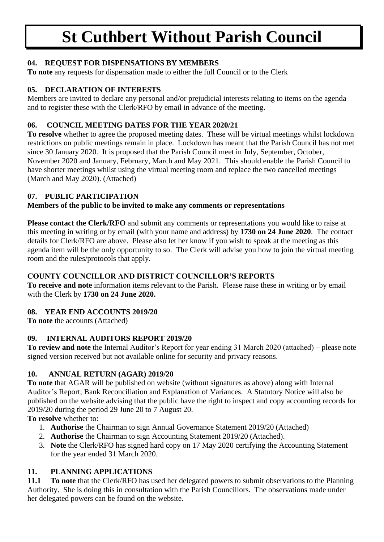#### **04. REQUEST FOR DISPENSATIONS BY MEMBERS**

**To note** any requests for dispensation made to either the full Council or to the Clerk

#### **05. DECLARATION OF INTERESTS**

Members are invited to declare any personal and/or prejudicial interests relating to items on the agenda and to register these with the Clerk/RFO by email in advance of the meeting.

#### **06. COUNCIL MEETING DATES FOR THE YEAR 2020/21**

**To resolve** whether to agree the proposed meeting dates. These will be virtual meetings whilst lockdown restrictions on public meetings remain in place. Lockdown has meant that the Parish Council has not met since 30 January 2020. It is proposed that the Parish Council meet in July, September, October, November 2020 and January, February, March and May 2021. This should enable the Parish Council to have shorter meetings whilst using the virtual meeting room and replace the two cancelled meetings (March and May 2020). (Attached)

#### **07. PUBLIC PARTICIPATION**

### **Members of the public to be invited to make any comments or representations**

**Please contact the Clerk/RFO** and submit any comments or representations you would like to raise at this meeting in writing or by email (with your name and address) by **1730 on 24 June 2020**. The contact details for Clerk/RFO are above. Please also let her know if you wish to speak at the meeting as this agenda item will be the only opportunity to so. The Clerk will advise you how to join the virtual meeting room and the rules/protocols that apply.

#### **COUNTY COUNCILLOR AND DISTRICT COUNCILLOR'S REPORTS**

**To receive and note** information items relevant to the Parish. Please raise these in writing or by email with the Clerk by **1730 on 24 June 2020.**

#### **08. YEAR END ACCOUNTS 2019/20**

**To note** the accounts (Attached)

#### **09. INTERNAL AUDITORS REPORT 2019/20**

**To review and note** the Internal Auditor's Report for year ending 31 March 2020 (attached) – please note signed version received but not available online for security and privacy reasons.

#### **10. ANNUAL RETURN (AGAR) 2019/20**

**To note** that AGAR will be published on website (without signatures as above) along with Internal Auditor's Report; Bank Reconciliation and Explanation of Variances. A Statutory Notice will also be published on the website advising that the public have the right to inspect and copy accounting records for 2019/20 during the period 29 June 20 to 7 August 20.

**To resolve** whether to:

- 1. **Authorise** the Chairman to sign Annual Governance Statement 2019/20 (Attached)
- 2. **Authorise** the Chairman to sign Accounting Statement 2019/20 (Attached).
- 3. **Note** the Clerk/RFO has signed hard copy on 17 May 2020 certifying the Accounting Statement for the year ended 31 March 2020.

### **11. PLANNING APPLICATIONS**

**11.1 To note** that the Clerk/RFO has used her delegated powers to submit observations to the Planning Authority. She is doing this in consultation with the Parish Councillors. The observations made under her delegated powers can be found on the website.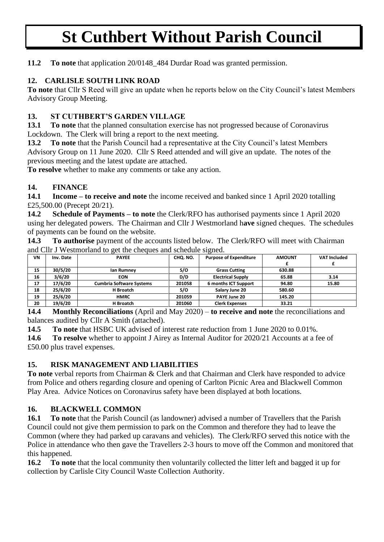**11.2 To note** that application 20/0148\_484 Durdar Road was granted permission.

#### **12. CARLISLE SOUTH LINK ROAD**

**To note** that Cllr S Reed will give an update when he reports below on the City Council's latest Members Advisory Group Meeting.

#### **13. ST CUTHBERT'S GARDEN VILLAGE**

13.1 To note that the planned consultation exercise has not progressed because of Coronavirus Lockdown. The Clerk will bring a report to the next meeting.

**13.2 To note** that the Parish Council had a representative at the City Council's latest Members Advisory Group on 11 June 2020. Cllr S Reed attended and will give an update. The notes of the previous meeting and the latest update are attached.

**To resolve** whether to make any comments or take any action.

#### **14. FINANCE**

**14.1 Income – to receive and note** the income received and banked since 1 April 2020 totalling £25,500.00 (Precept 20/21).

**14.2 Schedule of Payments – to note** the Clerk/RFO has authorised payments since 1 April 2020 using her delegated powers. The Chairman and Cllr J Westmorland h**ave** signed cheques. The schedules of payments can be found on the website.

**14.3 To authorise** payment of the accounts listed below. The Clerk/RFO will meet with Chairman and Cllr J Westmorland to get the cheques and schedule signed.

| VN | Inv. Date | <b>PAYEE</b>                    | CHO. NO. | <b>Purpose of Expenditure</b> | <b>AMOUNT</b> | <b>VAT Included</b> |
|----|-----------|---------------------------------|----------|-------------------------------|---------------|---------------------|
|    |           |                                 |          |                               |               |                     |
| 15 | 30/5/20   | lan Rumney                      | S/O      | <b>Grass Cutting</b>          | 630.88        |                     |
| 16 | 3/6/20    | <b>EON</b>                      | D/D      | <b>Electrical Supply</b>      | 65.88         | 3.14                |
| 17 | 17/6/20   | <b>Cumbria Software Systems</b> | 201058   | <b>6 months ICT Support</b>   | 94.80         | 15.80               |
| 18 | 25/6/20   | H Broatch                       | S/O      | Salary June 20                | 580.60        |                     |
| 19 | 25/6/20   | <b>HMRC</b>                     | 201059   | PAYE June 20                  | 145.20        |                     |
| 20 | 19/6/20   | H Broatch                       | 201060   | <b>Clerk Expenses</b>         | 33.21         |                     |

**14.4 Monthly Reconciliations** (April and May 2020) – **to receive and note** the reconciliations and balances audited by Cllr A Smith (attached).

**14.5 To note** that HSBC UK advised of interest rate reduction from 1 June 2020 to 0.01%.

**14.6 To resolve** whether to appoint J Airey as Internal Auditor for 2020/21 Accounts at a fee of £50.00 plus travel expenses.

#### **15. RISK MANAGEMENT AND LIABILITIES**

**To note** verbal reports from Chairman & Clerk and that Chairman and Clerk have responded to advice from Police and others regarding closure and opening of Carlton Picnic Area and Blackwell Common Play Area. Advice Notices on Coronavirus safety have been displayed at both locations.

#### **16. BLACKWELL COMMON**

**16.1** To note that the Parish Council (as landowner) advised a number of Travellers that the Parish Council could not give them permission to park on the Common and therefore they had to leave the Common (where they had parked up caravans and vehicles). The Clerk/RFO served this notice with the Police in attendance who then gave the Travellers 2-3 hours to move off the Common and monitored that this happened.

**16.2 To note** that the local community then voluntarily collected the litter left and bagged it up for collection by Carlisle City Council Waste Collection Authority.